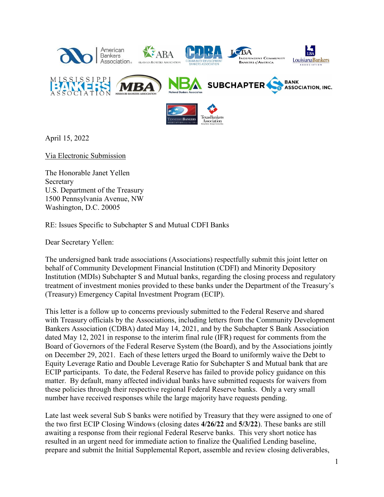

April 15, 2022

Via Electronic Submission

The Honorable Janet Yellen Secretary U.S. Department of the Treasury 1500 Pennsylvania Avenue, NW Washington, D.C. 20005

RE: Issues Specific to Subchapter S and Mutual CDFI Banks

Dear Secretary Yellen:

The undersigned bank trade associations (Associations) respectfully submit this joint letter on behalf of Community Development Financial Institution (CDFI) and Minority Depository Institution (MDIs) Subchapter S and Mutual banks, regarding the closing process and regulatory treatment of investment monies provided to these banks under the Department of the Treasury's (Treasury) Emergency Capital Investment Program (ECIP).

This letter is a follow up to concerns previously submitted to the Federal Reserve and shared with Treasury officials by the Associations, including letters from the Community Development Bankers Association (CDBA) dated May 14, 2021, and by the Subchapter S Bank Association dated May 12, 2021 in response to the interim final rule (IFR) request for comments from the Board of Governors of the Federal Reserve System (the Board), and by the Associations jointly on December 29, 2021. Each of these letters urged the Board to uniformly waive the Debt to Equity Leverage Ratio and Double Leverage Ratio for Subchapter S and Mutual bank that are ECIP participants. To date, the Federal Reserve has failed to provide policy guidance on this matter. By default, many affected individual banks have submitted requests for waivers from these policies through their respective regional Federal Reserve banks. Only a very small number have received responses while the large majority have requests pending.

Late last week several Sub S banks were notified by Treasury that they were assigned to one of the two first ECIP Closing Windows (closing dates **4/26/22** and **5/3/22**). These banks are still awaiting a response from their regional Federal Reserve banks. This very short notice has resulted in an urgent need for immediate action to finalize the Qualified Lending baseline, prepare and submit the Initial Supplemental Report, assemble and review closing deliverables,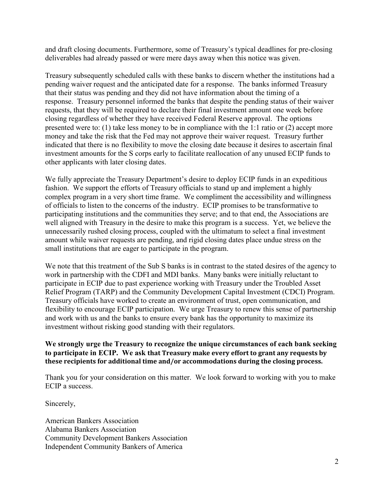and draft closing documents. Furthermore, some of Treasury's typical deadlines for pre-closing deliverables had already passed or were mere days away when this notice was given.

Treasury subsequently scheduled calls with these banks to discern whether the institutions had a pending waiver request and the anticipated date for a response. The banks informed Treasury that their status was pending and they did not have information about the timing of a response. Treasury personnel informed the banks that despite the pending status of their waiver requests, that they will be required to declare their final investment amount one week before closing regardless of whether they have received Federal Reserve approval. The options presented were to: (1) take less money to be in compliance with the 1:1 ratio or (2) accept more money and take the risk that the Fed may not approve their waiver request. Treasury further indicated that there is no flexibility to move the closing date because it desires to ascertain final investment amounts for the S corps early to facilitate reallocation of any unused ECIP funds to other applicants with later closing dates.

We fully appreciate the Treasury Department's desire to deploy ECIP funds in an expeditious fashion. We support the efforts of Treasury officials to stand up and implement a highly complex program in a very short time frame. We compliment the accessibility and willingness of officials to listen to the concerns of the industry. ECIP promises to be transformative to participating institutions and the communities they serve; and to that end, the Associations are well aligned with Treasury in the desire to make this program is a success. Yet, we believe the unnecessarily rushed closing process, coupled with the ultimatum to select a final investment amount while waiver requests are pending, and rigid closing dates place undue stress on the small institutions that are eager to participate in the program.

We note that this treatment of the Sub S banks is in contrast to the stated desires of the agency to work in partnership with the CDFI and MDI banks. Many banks were initially reluctant to participate in ECIP due to past experience working with Treasury under the Troubled Asset Relief Program (TARP) and the Community Development Capital Investment (CDCI) Program. Treasury officials have worked to create an environment of trust, open communication, and flexibility to encourage ECIP participation. We urge Treasury to renew this sense of partnership and work with us and the banks to ensure every bank has the opportunity to maximize its investment without risking good standing with their regulators.

## **We strongly urge the Treasury to recognize the unique circumstances of each bank seeking to participate in ECIP. We ask that Treasury make every effort to grant any requests by these recipients for additional time and/or accommodations during the closing process.**

Thank you for your consideration on this matter. We look forward to working with you to make ECIP a success.

Sincerely,

American Bankers Association Alabama Bankers Association Community Development Bankers Association Independent Community Bankers of America